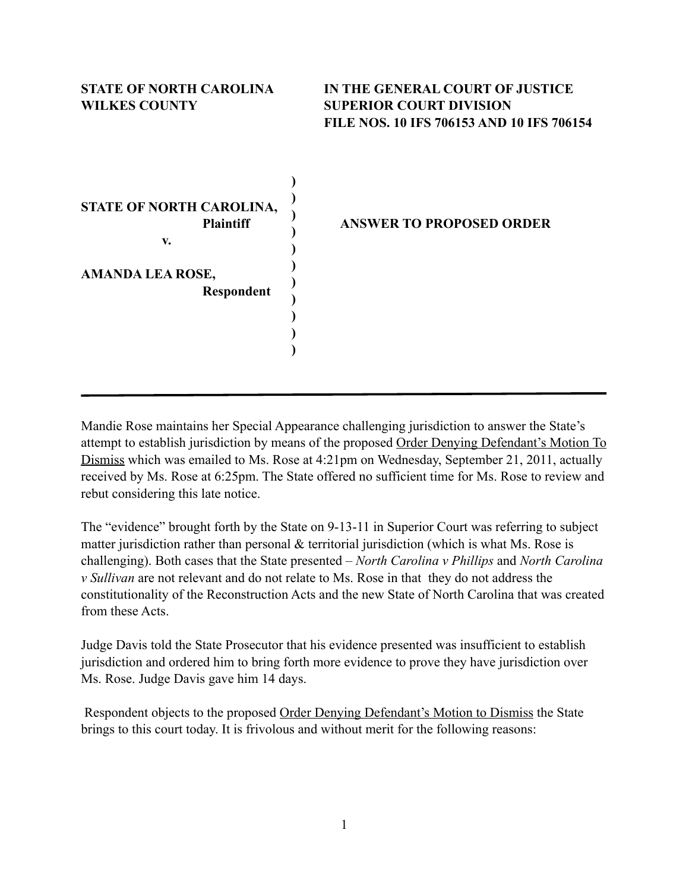

Mandie Rose maintains her Special Appearance challenging jurisdiction to answer the State's attempt to establish jurisdiction by means of the proposed Order Denying Defendant's Motion To Dismiss which was emailed to Ms. Rose at 4:21pm on Wednesday, September 21, 2011, actually received by Ms. Rose at 6:25pm. The State offered no sufficient time for Ms. Rose to review and rebut considering this late notice.

The "evidence" brought forth by the State on 9-13-11 in Superior Court was referring to subject matter jurisdiction rather than personal  $\&$  territorial jurisdiction (which is what Ms. Rose is challenging). Both cases that the State presented – *North Carolina v Phillips* and *North Carolina v Sullivan* are not relevant and do not relate to Ms. Rose in that they do not address the constitutionality of the Reconstruction Acts and the new State of North Carolina that was created from these Acts.

Judge Davis told the State Prosecutor that his evidence presented was insufficient to establish jurisdiction and ordered him to bring forth more evidence to prove they have jurisdiction over Ms. Rose. Judge Davis gave him 14 days.

 Respondent objects to the proposed Order Denying Defendant's Motion to Dismiss the State brings to this court today. It is frivolous and without merit for the following reasons: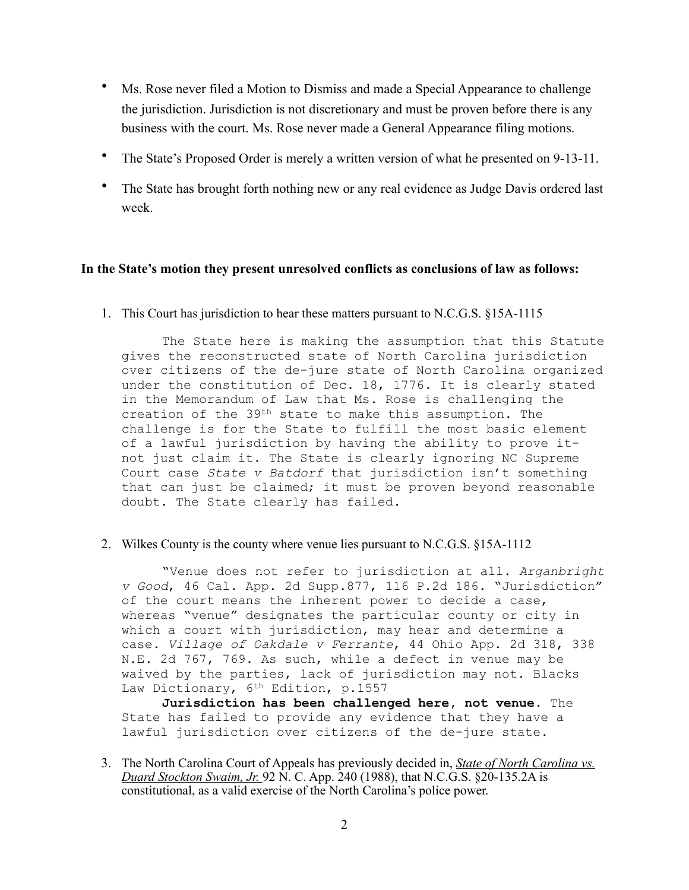- Ms. Rose never filed a Motion to Dismiss and made a Special Appearance to challenge the jurisdiction. Jurisdiction is not discretionary and must be proven before there is any business with the court. Ms. Rose never made a General Appearance filing motions.
- The State's Proposed Order is merely a written version of what he presented on 9-13-11.
- The State has brought forth nothing new or any real evidence as Judge Davis ordered last week.

## **In the State's motion they present unresolved conflicts as conclusions of law as follows:**

1. This Court has jurisdiction to hear these matters pursuant to N.C.G.S. §15A-1115

The State here is making the assumption that this Statute gives the reconstructed state of North Carolina jurisdiction over citizens of the de-jure state of North Carolina organized under the constitution of Dec. 18, 1776. It is clearly stated in the Memorandum of Law that Ms. Rose is challenging the creation of the 39th state to make this assumption. The challenge is for the State to fulfill the most basic element of a lawful jurisdiction by having the ability to prove itnot just claim it. The State is clearly ignoring NC Supreme Court case *State v Batdorf* that jurisdiction isn't something that can just be claimed; it must be proven beyond reasonable doubt. The State clearly has failed.

## 2. Wilkes County is the county where venue lies pursuant to N.C.G.S. §15A-1112

"Venue does not refer to jurisdiction at all. *Arganbright v Good*, 46 Cal. App. 2d Supp.877, 116 P.2d 186. "Jurisdiction" of the court means the inherent power to decide a case, whereas "venue" designates the particular county or city in which a court with jurisdiction, may hear and determine a case. *Village of Oakdale v Ferrante*, 44 Ohio App. 2d 318, 338 N.E. 2d 767, 769. As such, while a defect in venue may be waived by the parties, lack of jurisdiction may not. Blacks Law Dictionary, 6<sup>th</sup> Edition, p.1557

**Jurisdiction has been challenged here, not venue**. The State has failed to provide any evidence that they have a lawful jurisdiction over citizens of the de-jure state.

3. The North Carolina Court of Appeals has previously decided in, *State of North Carolina vs. Duard Stockton Swaim, Jr.* 92 N. C. App. 240 (1988), that N.C.G.S. §20-135.2A is constitutional, as a valid exercise of the North Carolina's police power.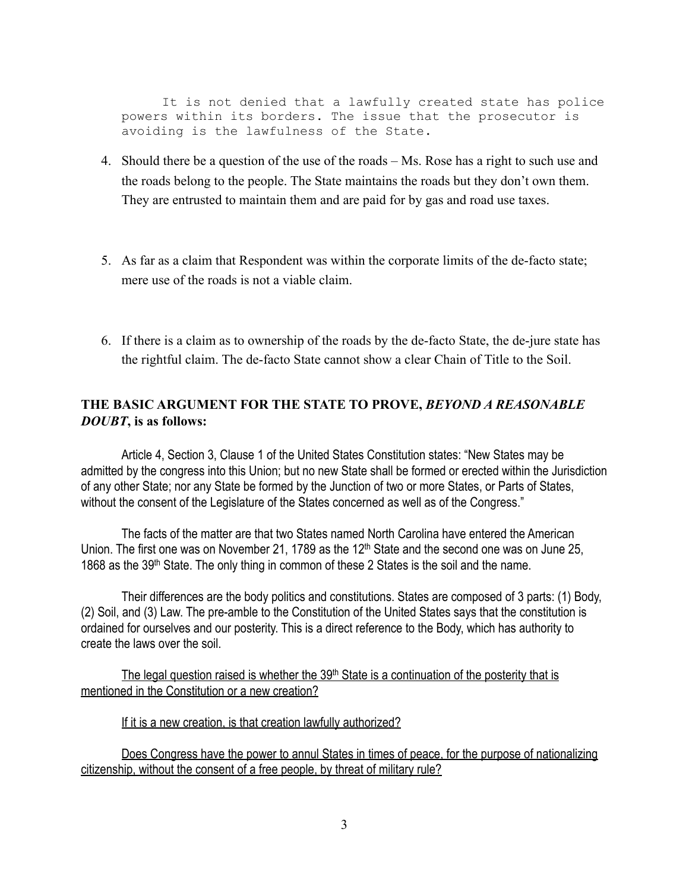It is not denied that a lawfully created state has police powers within its borders. The issue that the prosecutor is avoiding is the lawfulness of the State.

- 4. Should there be a question of the use of the roads Ms. Rose has a right to such use and the roads belong to the people. The State maintains the roads but they don't own them. They are entrusted to maintain them and are paid for by gas and road use taxes.
- 5. As far as a claim that Respondent was within the corporate limits of the de-facto state; mere use of the roads is not a viable claim.
- 6. If there is a claim as to ownership of the roads by the de-facto State, the de-jure state has the rightful claim. The de-facto State cannot show a clear Chain of Title to the Soil.

## **THE BASIC ARGUMENT FOR THE STATE TO PROVE,** *BEYOND A REASONABLE DOUBT***, is as follows:**

Article 4, Section 3, Clause 1 of the United States Constitution states: "New States may be admitted by the congress into this Union; but no new State shall be formed or erected within the Jurisdiction of any other State; nor any State be formed by the Junction of two or more States, or Parts of States, without the consent of the Legislature of the States concerned as well as of the Congress."

The facts of the matter are that two States named North Carolina have entered the American Union. The first one was on November 21, 1789 as the 12<sup>th</sup> State and the second one was on June 25, 1868 as the 39<sup>th</sup> State. The only thing in common of these 2 States is the soil and the name.

Their differences are the body politics and constitutions. States are composed of 3 parts: (1) Body, (2) Soil, and (3) Law. The pre-amble to the Constitution of the United States says that the constitution is ordained for ourselves and our posterity. This is a direct reference to the Body, which has authority to create the laws over the soil.

The legal question raised is whether the  $39<sup>th</sup>$  State is a continuation of the posterity that is mentioned in the Constitution or a new creation?

If it is a new creation, is that creation lawfully authorized?

Does Congress have the power to annul States in times of peace, for the purpose of nationalizing citizenship, without the consent of a free people, by threat of military rule?